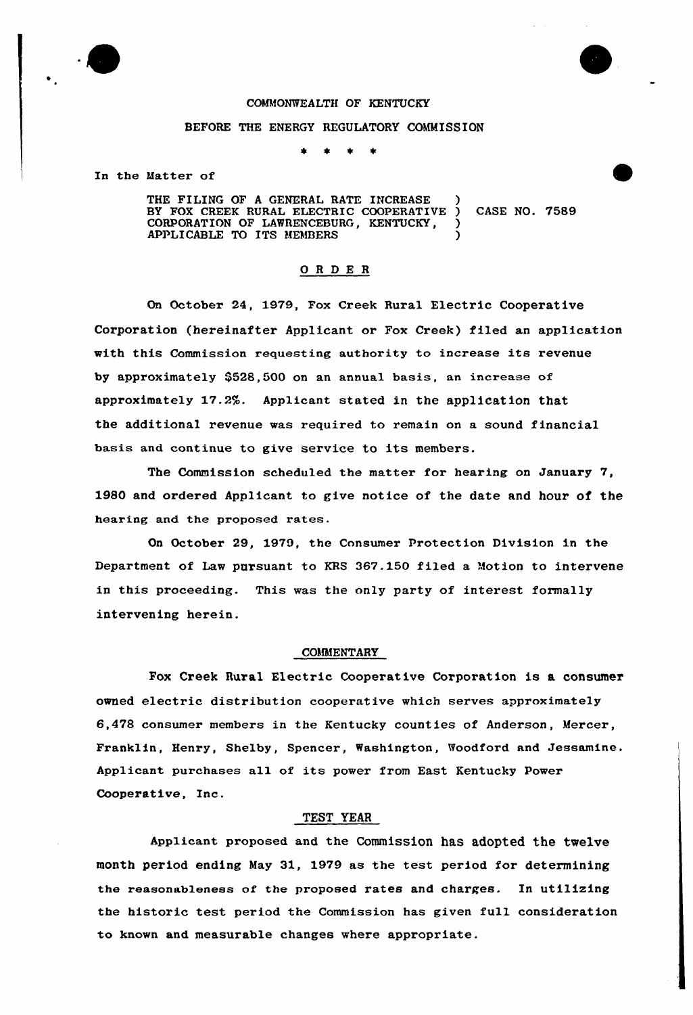

# COMMONWEALTH OF KENTUCKY

### BEFORE THE ENERGY REGULATORY COMMISSION

In the Matter of

THE FILING OF A GENERAL RATE INCREASE BY FOX CREEK RURAL ELECTRIC COOPERATIVE ) CASE NO. 7589 CORPORATION OF LAWRENCEBURG, KENTUCKY, APPLICABLE TO ITS MEMBERS

# ORDER

On October 24, 1979, Fox Creek Rural Electric Cooperative Corporation (hereinafter Applicant or Fox Creek) filed an application with this Commission requesting authority to increase its revenue by approximately  $$528,500$  on an annual basis, an increase of approximately 17.2%. Applicant stated in the application that the additional revenue was required to remain on a sound financial basis and continue to give service to its members.

The Commission scheduled the matter for hearing on January 7, 1980 and ordered Applicant to give notice of the date and hour of the hearing and the proposed rates.

On October 29, 1979, the Consumer Protection Division in the Department of Law pursuant to KRS 367.150 filed a Motion to intervene in this proceeding. This was the only party of interest formally intervening herein.

### COMMENTARY

Fox Creek Rural Electric Cooperative Corporation is a consumer owned electric distribution cooperative which serves approximately 6,478 consumer members in the Kentucky counties of Anderson, Mercer, Franklin, Henry, Shelby, Spencer, Washington, Woodford and Jessamine. Applicant purchases all of its power from East Kentucky power Cooperative, Inc.

# TEST YEAR

Applicant proposed and the Commission has adopted the twelve month period ending May 31, 1979 as the test period for determining the reasonableness of the proposed rates and charges. In utilizing the historic test period the Commission has given full consideration to known and measurable changes where appropriate.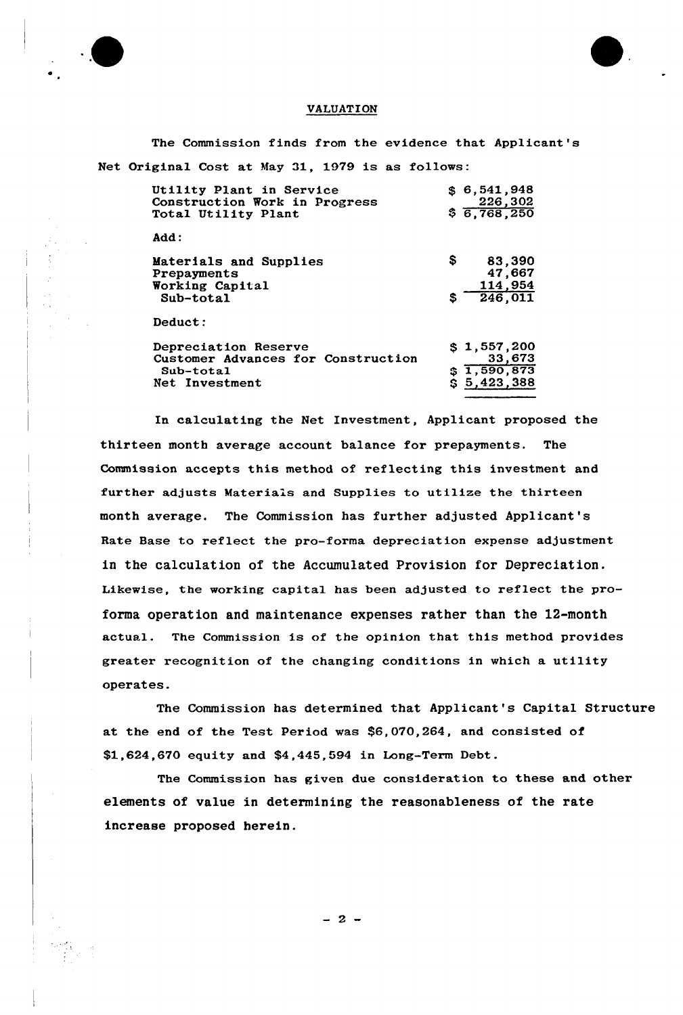



## VALUATION

The Commission finds from the evidence that Applicant's Net Original Cost at May 31, 1979 is as follows:

| Utility Plant in Service<br>Construction Work in Progress<br>Total Utility Plant            | \$6.541.948<br>226,302<br>\$6,768,250               |
|---------------------------------------------------------------------------------------------|-----------------------------------------------------|
| Add:                                                                                        |                                                     |
| Materials and Supplies<br>Prepayments<br>Working Capital<br>$Sub-total$                     | \$.<br>83,390<br>47,667<br>114,954<br>246,011<br>S. |
| Deduct:                                                                                     |                                                     |
| Depreciation Reserve<br>Customer Advances for Construction<br>$Sub-total$<br>Net Investment | \$1,557,200<br>33,673<br>\$1,590,873<br>\$5,423,388 |

In calculating the Net Investment, Applicant proposed the thirteen month average account balance for prepayments. The Commission accepts this method of reflecting this investment and further adjusts Materials and Supplies to utilize the thirteen month average. The Commission has further adjusted Applicant's Rate Base to reflect the pro-forma depreciation expense adjustment in the calculation of the Accumulated Provision for Depreciation. Likewise, the working capital has been adjusted to reflect the proforma operation and maintenance expenses rather than the 12-month actual. The Commission is of the opinion that this method provides greater recognition of the changing conditions in which a utility operates.

The Commission has determined that Applicant's Capital Structure at the end of the Test Period was \$6,070,264, and consisted of \$1,624,670 equity and \$4,445,594 in Long-Term Debt.

The Commission has given due consideration to these and other elements of value in determining the reasonableness of the rate increase proposed herein.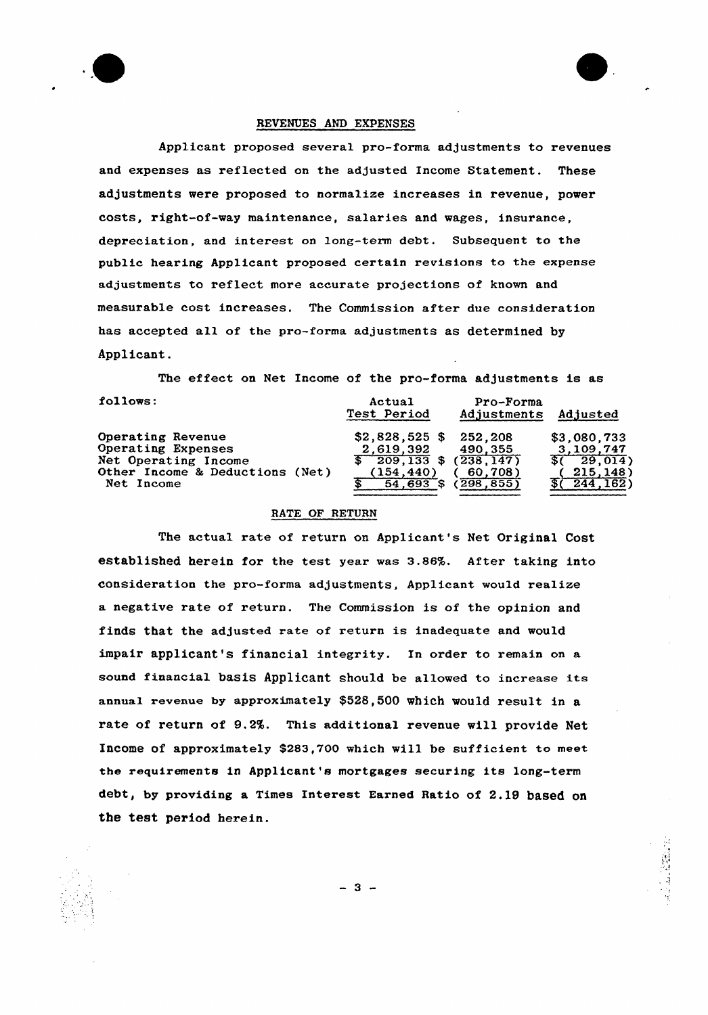



Applicant proposed several pro-forma adjustments to revenues and expenses as reflected on the adjusted Income Statement. These adjustments were proposed to normalize increases in revenue, power costs, right-of-way maintenance, salaries and wages, insurance, depreciation, and interest on long-term debt. Subsequent to the pub1ic hearing Applicant proposed certain revisions to the expense adjustments to reflect more accurate projections of known and measurable cost increases. The Commission after due consideration has accepted all of the pro-forma adjustments as determined by Applicant.

The effect on Net Income of the pro-forma adjustments is as

| follows:                        | Actual<br>Test Period                             | Pro-Forma<br>Adjustments | Adjusted            |
|---------------------------------|---------------------------------------------------|--------------------------|---------------------|
| Operating Revenue               | $$2,828,525$ \$ 252,208                           |                          | \$3,080,733         |
| Operating Expenses              | 2,619,392                                         | 490,355                  | 3,109,747           |
| Net Operating Income            | $\overline{\$}$ 209,133 $\overline{\$}$ (238,147) |                          | $\sqrt{5(-29.014)}$ |
| Other Income & Deductions (Net) | (154, 440)                                        | 60,708)                  | 215, 148            |
| Net Income                      | 54.693                                            | 298, 855                 | 244, 162)           |
|                                 |                                                   |                          |                     |

# RATE OF RETURN

The actual rate of return on Applicant's Net Original Cost established herein for the test year was 3.86%. After taking into consideration the pro-forma adjustments, Applicant would realize a negative rate of return. The Commission is of the opinion and finds that the adjusted rate of return is inadequate and would impair applicant's financial integrity. In order to remain on a sound financial basis Applicant should be allowed to increase its annual revenue by approximately \$528,500 which would result in a rate of return of 9.2%. This additional revenue will provide Net InCOme Of apprOXimately \$283,700 WhiCh Will be Sufficient to meet the requirements in Applicant's mortgages securing its long-term debt, by providing a Times Interest Earned Ratio of 2.19 based on the test period herein.

 $-3 -$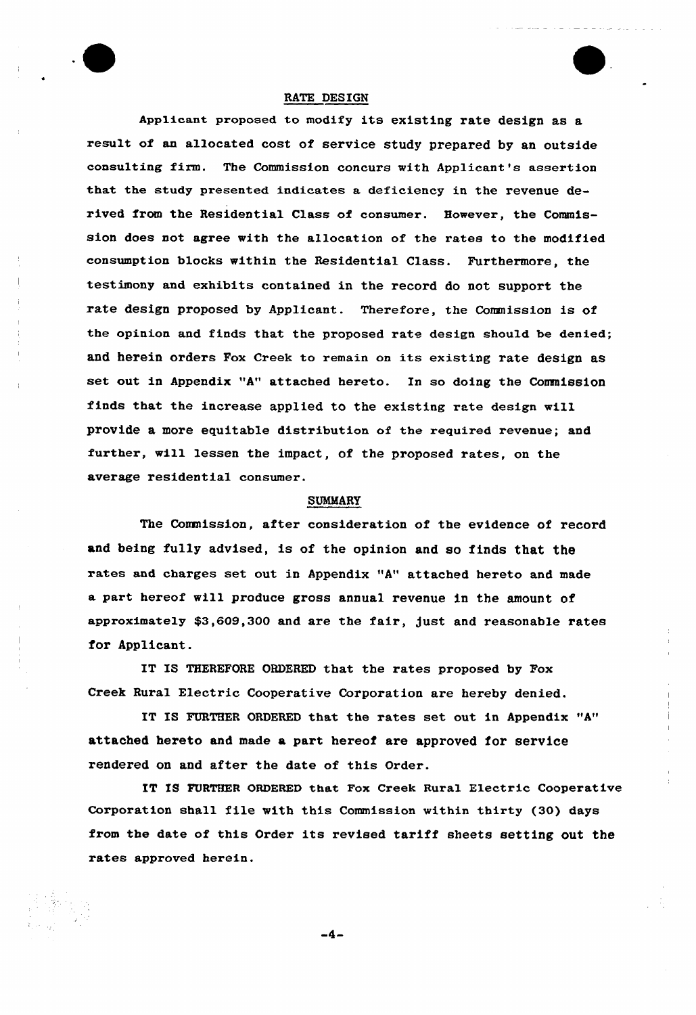

Applicant proposed to modify its existing rate design as a result of an allocated cost of service study prepared by an outside consulting firm. The Commission concurs with Applicant's assertion that the study presented indicates a deficiency in the revenue derived from the Residential Class of consumer. However, the Commission does not agree with the allocation of the rates to the modified consumption blocks within the Residential Class. Furthermore, the testimony and exhibits contained in the record do not support the rate design proposed by Applicant. Therefore, the Commission is of the opinion and finds that the proposed rate design should be denied; and herein orders Fox Creek to remain on its existing rate design as set out in Appendix "A" attached hereto. In so doing the Commission finds that the increase applied to the existing rate design will provide a more equitable distribution of the required revenue; and further, will lessen the impact, of the proposed rates, on the average residential consumer.

### SUMMARY

The Conmlssion, after consideration of the evidence of record and being fully advised, is of the opinion and so finds that the rates and charges set out in Appendix "A" attached hereto and made a paxt hexeof will produce gross annual revenue in the amount of approximately \$3,609,300 and are the fair, gust and reasonable rates for Applicant.

IT IS THEREFORE ORDERED that the rates proposed by Pox Creek Rural Electric Cooperative Corporation are hereby denied.

IT IS FURTHER ORDERED that the rates set out in Appendix "A" attached hereto and made a part hereof are approved for service rendered on and after the date of this Order.

IT IS FURTHER ORDERED that Fox Creek Rural Electric Cooperative Corporation shall file with this Commission within thirty (30) days from the date of this Order its revised tariff sheets setting out the rates approved herein.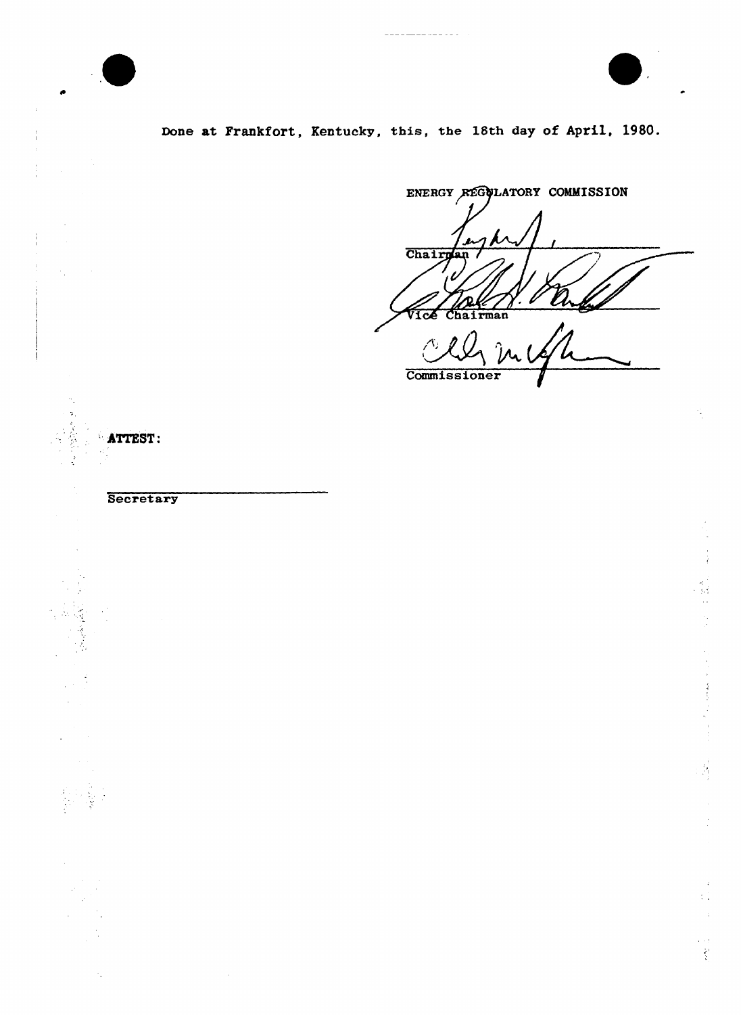



Done at Frankfort, Kentucky, this, the 18th day of April, 1980.

ENERGY REGULATORY COMMISSION Chairn Chairman lcE  $\hat{p}$ Commissioner

ATTEST:

**Secretary** 

ان<br>پاکستان استفاده<br>را

 $\frac{1}{3}$